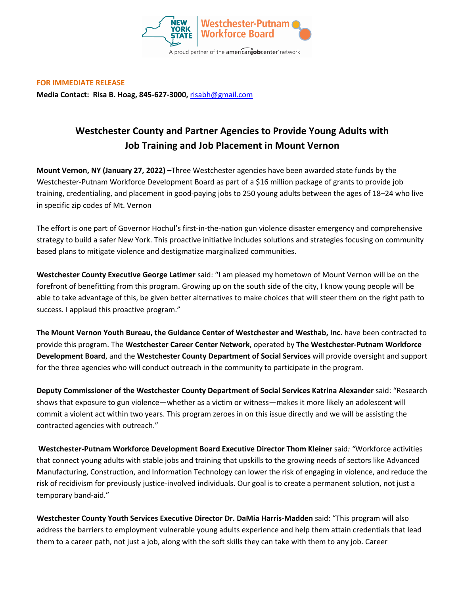

**FOR IMMEDIATE RELEASE** 

**Media Contact: Risa B. Hoag, 845-627-3000,** risabh@gmail.com

## **Westchester County and Partner Agencies to Provide Young Adults with Job Training and Job Placement in Mount Vernon**

**Mount Vernon, NY (January 27, 2022) –**Three Westchester agencies have been awarded state funds by the Westchester-Putnam Workforce Development Board as part of a \$16 million package of grants to provide job training, credentialing, and placement in good-paying jobs to 250 young adults between the ages of 18–24 who live in specific zip codes of Mt. Vernon

The effort is one part of Governor Hochul's first-in-the-nation gun violence disaster emergency and comprehensive strategy to build a safer New York. This proactive initiative includes solutions and strategies focusing on community based plans to mitigate violence and destigmatize marginalized communities.

**Westchester County Executive George Latimer** said: "I am pleased my hometown of Mount Vernon will be on the forefront of benefitting from this program. Growing up on the south side of the city, I know young people will be able to take advantage of this, be given better alternatives to make choices that will steer them on the right path to success. I applaud this proactive program."

**The Mount Vernon Youth Bureau, the Guidance Center of Westchester and Westhab, Inc.** have been contracted to provide this program. The **Westchester Career Center Network**, operated by **The Westchester-Putnam Workforce Development Board**, and the **Westchester County Department of Social Services** will provide oversight and support for the three agencies who will conduct outreach in the community to participate in the program.

**Deputy Commissioner of the Westchester County Department of Social Services Katrina Alexander** said: "Research shows that exposure to gun violence—whether as a victim or witness—makes it more likely an adolescent will commit a violent act within two years. This program zeroes in on this issue directly and we will be assisting the contracted agencies with outreach."

**Westchester-Putnam Workforce Development Board Executive Director Thom Kleiner** said*: "*Workforce activities that connect young adults with stable jobs and training that upskills to the growing needs of sectors like Advanced Manufacturing, Construction, and Information Technology can lower the risk of engaging in violence, and reduce the risk of recidivism for previously justice-involved individuals. Our goal is to create a permanent solution, not just a temporary band-aid."

**Westchester County Youth Services Executive Director Dr. DaMia Harris-Madden** said: "This program will also address the barriers to employment vulnerable young adults experience and help them attain credentials that lead them to a career path, not just a job, along with the soft skills they can take with them to any job. Career